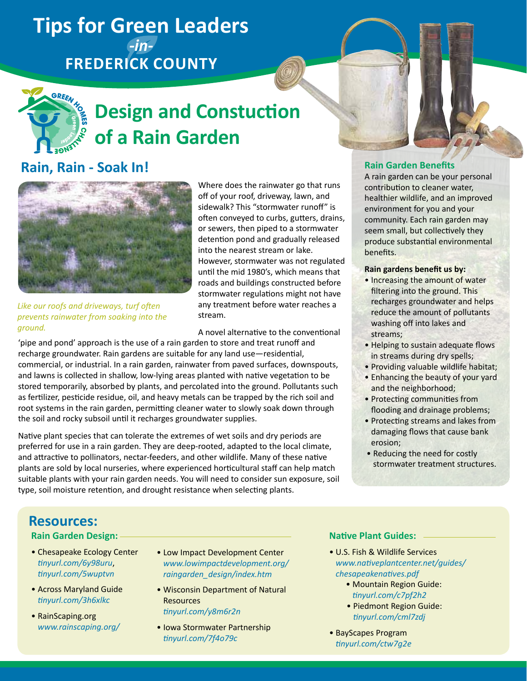# **Tips for Green Leaders**  *-in-***Frederick County**



# **Design and Constuction of a Rain Garden**

# **Rain, Rain - Soak In! Rain Garden Benefits Rain Garden Benefits**



Where does the rainwater go that runs off of your roof, driveway, lawn, and sidewalk? This "stormwater runoff" is often conveyed to curbs, gutters, drains, or sewers, then piped to a stormwater detention pond and gradually released into the nearest stream or lake. However, stormwater was not regulated until the mid 1980's, which means that roads and buildings constructed before stormwater regulations might not have any treatment before water reaches a stream.

A novel alternative to the conventional

*Like our roofs and driveways, turf often prevents rainwater from soaking into the ground.*

'pipe and pond' approach is the use of a rain garden to store and treat runoff and recharge groundwater. Rain gardens are suitable for any land use—residential, commercial, or industrial. In a rain garden, rainwater from paved surfaces, downspouts, and lawns is collected in shallow, low-lying areas planted with native vegetation to be stored temporarily, absorbed by plants, and percolated into the ground. Pollutants such as fertilizer, pesticide residue, oil, and heavy metals can be trapped by the rich soil and root systems in the rain garden, permitting cleaner water to slowly soak down through the soil and rocky subsoil until it recharges groundwater supplies.

Native plant species that can tolerate the extremes of wet soils and dry periods are preferred for use in a rain garden. They are deep-rooted, adapted to the local climate, and attractive to pollinators, nectar-feeders, and other wildlife. Many of these native plants are sold by local nurseries, where experienced horticultural staff can help match suitable plants with your rain garden needs. You will need to consider sun exposure, soil type, soil moisture retention, and drought resistance when selecting plants.

A rain garden can be your personal contribution to cleaner water, healthier wildlife, and an improved environment for you and your community. Each rain garden may seem small, but collectively they produce substantial environmental benefits.

#### **Rain gardens benefit us by:**

- Increasing the amount of water filtering into the ground. This recharges groundwater and helps reduce the amount of pollutants washing off into lakes and streams;
- Helping to sustain adequate flows in streams during dry spells;
- Providing valuable wildlife habitat;
- Enhancing the beauty of your yard and the neighborhood;
- Protecting communities from flooding and drainage problems;
- Protecting streams and lakes from damaging flows that cause bank erosion;
- Reducing the need for costly stormwater treatment structures.

## **Resources:**

#### **Rain Garden Design:**

- Chesapeake Ecology Center *[tinyurl.com/6y98uru](http://www.tinyurl.com/6y98uru)*, *[tinyurl.com/5wuptvn](http://www.tinyurl.com/5wuptvn)*
- Across Maryland Guide *[tinyurl.com/3h6xlkc](http://www.tinyurl.com/3h6xlkc)*
- RainScaping.org *[www.rainscaping.org/](http://www.www.rainscaping.org/)*
- Low Impact Development Center *[www.lowimpactdevelopment.org/](http://www.lowimpactdevelopment.org/raingarden_design/index.htm) [raingarden\\_design/index.htm](http://www.lowimpactdevelopment.org/raingarden_design/index.htm)*
- Wisconsin Department of Natural **Resources** *[tinyurl.com/y8m6r2n](http://www.tinyurl.com/y8m6r2n)*
- Iowa Stormwater Partnership *[tinyurl.com/7f4o79c](http://www.tinyurl.com/7f4o79c)*

### **Native Plant Guides:**

- U.S. Fish & Wildlife Services *[www.nativeplantcenter.net/guides/](http://www.nativeplantcenter.net/guides/chesapeakenatives.pdf) [chesapeakenatives.pdf](http://www.nativeplantcenter.net/guides/chesapeakenatives.pdf)*
	- Mountain Region Guide: *[tinyurl.com/c7pf2h2](http://www.tinyurl.com/c7pf2h2)*
	- Piedmont Region Guide: *[tinyurl.com/cml7zdj](http://www.tinyurl.com/cml7zdj)*
- BayScapes Program *[tinyurl.com/ctw7g2e](http://www.tinyurl.com/ctw7g2e)*